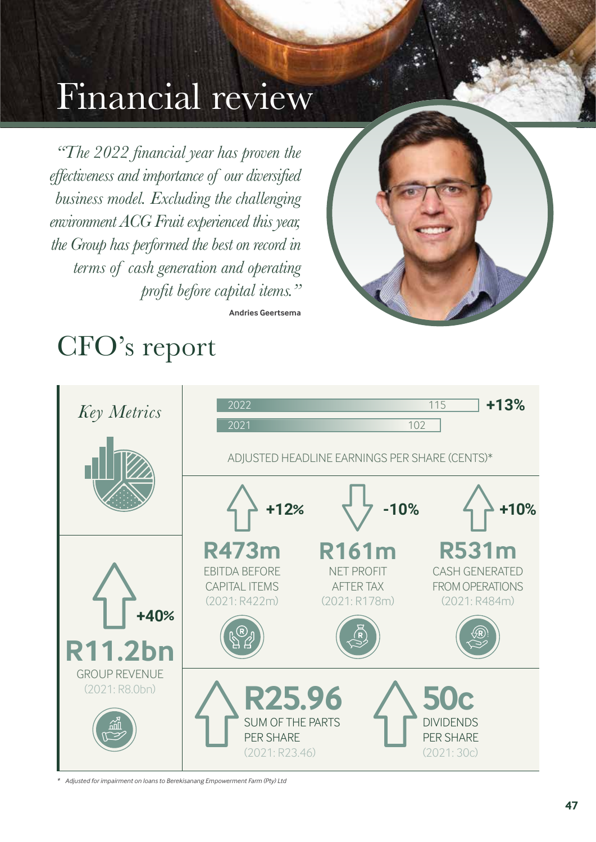# Financial review Financial

*"The 2022 financial year has proven the effectiveness and importance of our diversified business model. Excluding the challenging environment ACG Fruit experienced this year, the Group has performed the best on record in terms of cash generation and operating profit before capital items."*



# CFO's report



**Andries Geertsema**

*\* Adjusted for impairment on loans to Berekisanang Empowerment Farm (Pty) Ltd*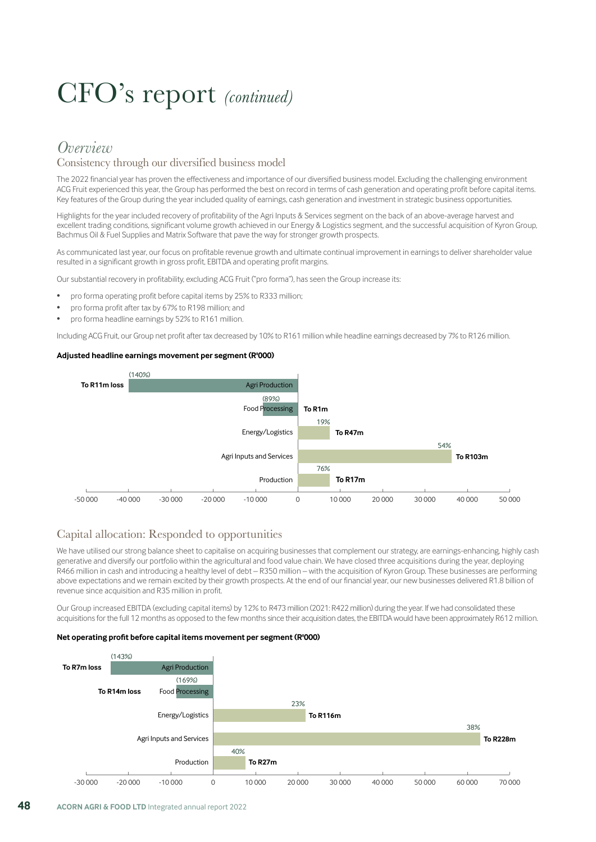# CFO's report *(continued)*

### *Overview*

#### Consistency through our diversified business model

The 2022 financial year has proven the effectiveness and importance of our diversified business model. Excluding the challenging environment ACG Fruit experienced this year, the Group has performed the best on record in terms of cash generation and operating profit before capital items. Key features of the Group during the year included quality of earnings, cash generation and investment in strategic business opportunities.

Highlights for the year included recovery of profitability of the Agri Inputs & Services segment on the back of an above-average harvest and excellent trading conditions, significant volume growth achieved in our Energy & Logistics segment, and the successful acquisition of Kyron Group, Bachmus Oil & Fuel Supplies and Matrix Software that pave the way for stronger growth prospects.

As communicated last year, our focus on profitable revenue growth and ultimate continual improvement in earnings to deliver shareholder value resulted in a significant growth in gross profit, EBITDA and operating profit margins.

Our substantial recovery in profitability, excluding ACG Fruit ("pro forma"), has seen the Group increase its:

- pro forma operating profit before capital items by 25% to R333 million;
- pro forma profit after tax by 67% to R198 million; and
- pro forma headline earnings by 52% to R161 million.

Including ACG Fruit, our Group net profit after tax decreased by 10% to R161 million while headline earnings decreased by 7% to R126 million.

#### **Adjusted headline earnings movement per segment (R'000)**



#### Capital allocation: Responded to opportunities

We have utilised our strong balance sheet to capitalise on acquiring businesses that complement our strategy, are earnings-enhancing, highly cash generative and diversify our portfolio within the agricultural and food value chain. We have closed three acquisitions during the year, deploying R466 million in cash and introducing a healthy level of debt – R350 million – with the acquisition of Kyron Group. These businesses are performing above expectations and we remain excited by their growth prospects. At the end of our financial year, our new businesses delivered R1.8 billion of revenue since acquisition and R35 million in profit.

Our Group increased EBITDA (excluding capital items) by 12% to R473 million (2021: R422 million) during the year. If we had consolidated these acquisitions for the full 12 months as opposed to the few months since their acquisition dates, the EBITDA would have been approximately R612 million.

#### **Net operating profit before capital items movement per segment (R'000)**

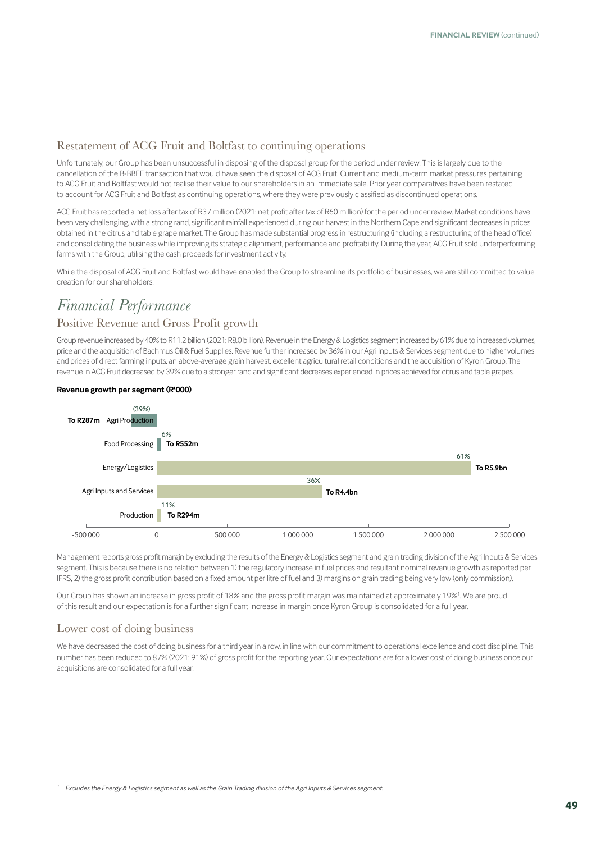#### Restatement of ACG Fruit and Boltfast to continuing operations

Unfortunately, our Group has been unsuccessful in disposing of the disposal group for the period under review. This is largely due to the cancellation of the B-BBEE transaction that would have seen the disposal of ACG Fruit. Current and medium-term market pressures pertaining to ACG Fruit and Boltfast would not realise their value to our shareholders in an immediate sale. Prior year comparatives have been restated to account for ACG Fruit and Boltfast as continuing operations, where they were previously classified as discontinued operations.

ACG Fruit has reported a net loss after tax of R37 million (2021: net profit after tax of R60 million) for the period under review. Market conditions have been very challenging, with a strong rand, significant rainfall experienced during our harvest in the Northern Cape and significant decreases in prices obtained in the citrus and table grape market. The Group has made substantial progress in restructuring (including a restructuring of the head office) and consolidating the business while improving its strategic alignment, performance and profitability. During the year, ACG Fruit sold underperforming farms with the Group, utilising the cash proceeds for investment activity.

While the disposal of ACG Fruit and Boltfast would have enabled the Group to streamline its portfolio of businesses, we are still committed to value creation for our shareholders.

### *Financial Performance*

#### Positive Revenue and Gross Profit growth

Group revenue increased by 40% to R11.2 billion (2021: R8.0 billion). Revenue in the Energy & Logistics segment increased by 61% due to increased volumes, price and the acquisition of Bachmus Oil & Fuel Supplies. Revenue further increased by 36% in our Agri Inputs & Services segment due to higher volumes and prices of direct farming inputs, an above-average grain harvest, excellent agricultural retail conditions and the acquisition of Kyron Group. The revenue in ACG Fruit decreased by 39% due to a stronger rand and significant decreases experienced in prices achieved for citrus and table grapes.

#### **Revenue growth per segment (R'000)**



Management reports gross profit margin by excluding the results of the Energy & Logistics segment and grain trading division of the Agri Inputs & Services segment. This is because there is no relation between 1) the regulatory increase in fuel prices and resultant nominal revenue growth as reported per IFRS, 2) the gross profit contribution based on a fixed amount per litre of fuel and 3) margins on grain trading being very low (only commission).

Our Group has shown an increase in gross profit of 18% and the gross profit margin was maintained at approximately 19%1 . We are proud of this result and our expectation is for a further significant increase in margin once Kyron Group is consolidated for a full year.

#### Lower cost of doing business

We have decreased the cost of doing business for a third year in a row, in line with our commitment to operational excellence and cost discipline. This number has been reduced to 87% (2021: 91%) of gross profit for the reporting year. Our expectations are for a lower cost of doing business once our acquisitions are consolidated for a full year.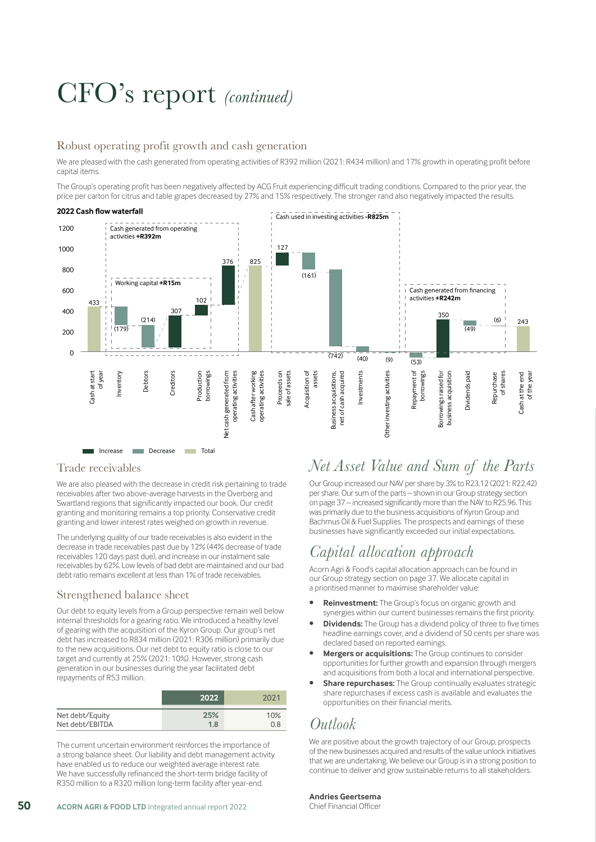# CFO's report *(continued)*

#### Robust operating profit growth and cash generation

We are pleased with the cash generated from operating activities of R392 million (2021: R434 million) and 17% growth in operating profit before capital items.

The Group's operating profit has been negatively affected by ACG Fruit experiencing difficult trading conditions. Compared to the prior year, the price per carton for citrus and table grapes decreased by 27% and 15% respectively. The stronger rand also negatively impacted the results.



#### Trade receivables

We are also pleased with the decrease in credit risk pertaining to trade receivables after two above-average harvests in the Overberg and Swartland regions that significantly impacted our book. Our credit granting and monitoring remains a top priority. Conservative credit granting and lower interest rates weighed on growth in revenue.

The underlying quality of our trade receivables is also evident in the decrease in trade receivables past due by 12% (44% decrease of trade receivables 120 days past due), and increase in our instalment sale receivables by 62%. Low levels of bad debt are maintained and our bad debt ratio remains excellent at less than 1% of trade receivables.

#### Strengthened balance sheet

Our debt to equity levels from a Group perspective remain well below internal thresholds for a gearing ratio. We introduced a healthy level of gearing with the acquisition of the Kyron Group. Our group's net debt has increased to R834 million (2021: R306 million) primarily due to the new acquisitions. Our net debt to equity ratio is close to our target and currently at 25% (2021: 10%). However, strong cash generation in our businesses during the year facilitated debt repayments of R53 million.

|                 | 2022 | 2021 |
|-----------------|------|------|
| Net debt/Equity | 25%  | 10%  |
| Net debt/EBITDA | 1.8  | 0.8  |

The current uncertain environment reinforces the importance of a strong balance sheet. Our liability and debt management activity have enabled us to reduce our weighted average interest rate. We have successfully refinanced the short-term bridge facility of R350 million to a R320 million long-term facility after year-end.

### *Net Asset Value and Sum of the Parts*

Our Group increased our NAV per share by 3% to R23.12 (2021: R22.42) per share. Our sum of the parts – shown in our Group strategy section on page 37 – increased significantly more than the NAV to R25.96. This was primarily due to the business acquisitions of Kyron Group and Bachmus Oil & Fuel Supplies. The prospects and earnings of these businesses have significantly exceeded our initial expectations.

## *Capital allocation approach*

Acorn Agri & Food's capital allocation approach can be found in our Group strategy section on page 37. We allocate capital in a prioritised manner to maximise shareholder value:

- **• Reinvestment:** The Group's focus on organic growth and synergies within our current businesses remains the first priority.
- **• Dividends:** The Group has a dividend policy of three to five times headline earnings cover, and a dividend of 50 cents per share was declared based on reported earnings.
- **• Mergers or acquisitions:** The Group continues to consider opportunities for further growth and expansion through mergers and acquisitions from both a local and international perspective.
- **• Share repurchases:** The Group continually evaluates strategic share repurchases if excess cash is available and evaluates the opportunities on their financial merits.

### *Outlook*

We are positive about the growth trajectory of our Group, prospects of the new businesses acquired and results of the value unlock initiatives that we are undertaking. We believe our Group is in a strong position to continue to deliver and grow sustainable returns to all stakeholders.

#### **Andries Geertsema**

Chief Financial Officer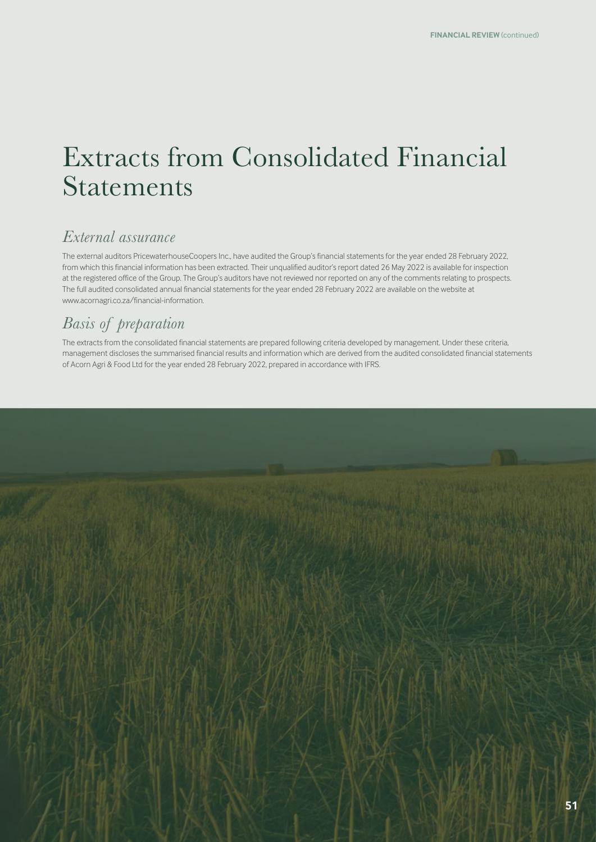## Extracts from Consolidated Financial Statements

## *External assurance*

The external auditors PricewaterhouseCoopers Inc., have audited the Group's financial statements for the year ended 28 February 2022, from which this financial information has been extracted. Their unqualified auditor's report dated 26 May 2022 is available for inspection at the registered office of the Group. The Group's auditors have not reviewed nor reported on any of the comments relating to prospects. The full audited consolidated annual financial statements for the year ended 28 February 2022 are available on the website at www.acornagri.co.za/financial-information.

## *Basis of preparation*

The extracts from the consolidated financial statements are prepared following criteria developed by management. Under these criteria, management discloses the summarised financial results and information which are derived from the audited consolidated financial statements of Acorn Agri & Food Ltd for the year ended 28 February 2022, prepared in accordance with IFRS.

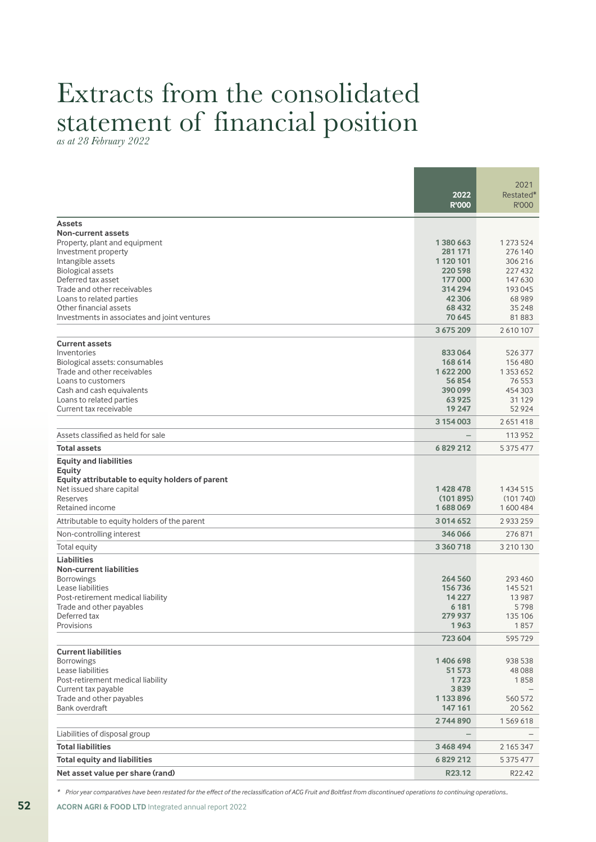# Extracts from the consolidated statement of financial position *as at 28 February 2022*

|                                                                                                                                                                                                                                                                                                         | 2022<br><b>R'000</b>                                                                              | 2021<br>Restated*<br><b>R'000</b>                                                             |
|---------------------------------------------------------------------------------------------------------------------------------------------------------------------------------------------------------------------------------------------------------------------------------------------------------|---------------------------------------------------------------------------------------------------|-----------------------------------------------------------------------------------------------|
| <b>Assets</b><br>Non-current assets<br>Property, plant and equipment<br>Investment property<br>Intangible assets<br><b>Biological assets</b><br>Deferred tax asset<br>Trade and other receivables<br>Loans to related parties<br>Other financial assets<br>Investments in associates and joint ventures | 1380663<br>281 171<br>1 1 20 1 0 1<br>220 598<br>177000<br>314 294<br>42 3 06<br>68 432<br>70 645 | 1 273 524<br>276 140<br>306 216<br>227 432<br>147 630<br>193 045<br>68 989<br>35 248<br>81883 |
| <b>Current assets</b><br>Inventories<br>Biological assets: consumables<br>Trade and other receivables<br>Loans to customers<br>Cash and cash equivalents<br>Loans to related parties<br>Current tax receivable                                                                                          | 3675209<br>833064<br>168 614<br>1622200<br>56854<br>390099<br>63925<br>19 247                     | 2610107<br>526 377<br>156 480<br>1353652<br>76 553<br>454 303<br>31 1 29<br>52 9 24           |
| Assets classified as held for sale<br>Total assets                                                                                                                                                                                                                                                      | 3 154 003<br>6829212                                                                              | 2651418<br>113 952<br>5 3 7 5 4 7 7                                                           |
| <b>Equity and liabilities</b><br>Equity<br>Equity attributable to equity holders of parent<br>Net issued share capital<br>Reserves<br>Retained income                                                                                                                                                   | 1428478<br>(101895)<br>1688069                                                                    | 1434515<br>(101740)<br>1600484                                                                |
| Attributable to equity holders of the parent<br>Non-controlling interest                                                                                                                                                                                                                                | 3014652<br>346066                                                                                 | 2933259<br>276871                                                                             |
| Total equity<br><b>Liabilities</b><br><b>Non-current liabilities</b><br><b>Borrowings</b><br>Lease liabilities<br>Post-retirement medical liability<br>Trade and other payables<br>Deferred tax<br>Provisions                                                                                           | 3360718<br>264 560<br>156736<br>14 2 2 7<br>6 181<br>279 937<br>1963<br>723 604                   | 3 210 130<br>293 460<br>145 521<br>13 9 8 7<br>5798<br>135 106<br>1857<br>595729              |
| <b>Current liabilities</b><br><b>Borrowings</b><br>Lease liabilities<br>Post-retirement medical liability<br>Current tax payable<br>Trade and other payables<br>Bank overdraft                                                                                                                          | 1406698<br>51 573<br>1723<br>3839<br>1 133 896<br>147 161<br>2744890                              | 938 538<br>48 088<br>1858<br>560 572<br>20562<br>1569618                                      |
| Liabilities of disposal group                                                                                                                                                                                                                                                                           |                                                                                                   |                                                                                               |
| <b>Total liabilities</b>                                                                                                                                                                                                                                                                                | 3468494                                                                                           | 2 165 347                                                                                     |
| <b>Total equity and liabilities</b><br>Net asset value per share (rand)                                                                                                                                                                                                                                 | 6829212<br>R23.12                                                                                 | 5 3 7 5 4 7 7<br>R22.42                                                                       |

*\* Prior year comparatives have been restated for the effect of the reclassification of ACG Fruit and Boltfast from discontinued operations to continuing operations..*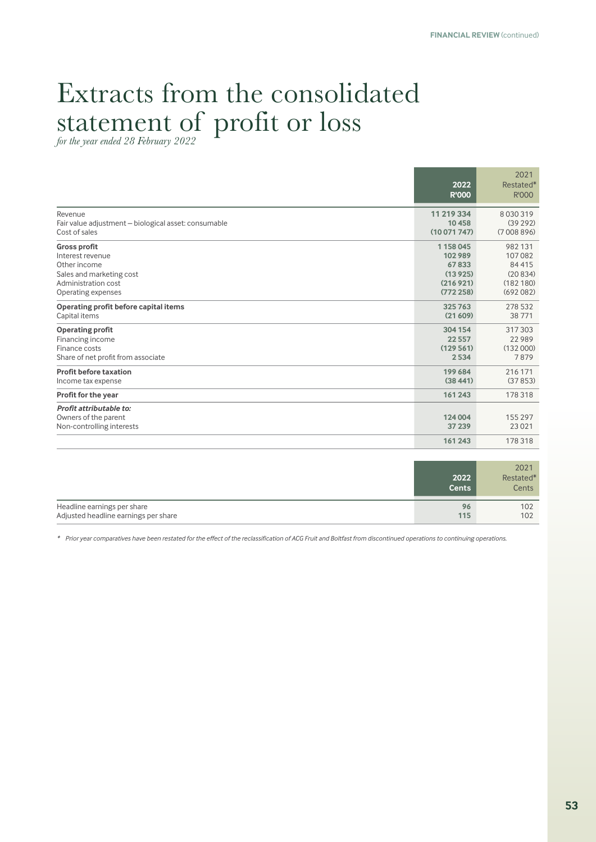**2022 R'000**

2021 Restated\* R'000

# Extracts from the consolidated statement of profit or loss *for the year ended 28 February 2022*

Revenue **11 219 334** 8 030 319 Fair value adjustment – biological asset: consumable **10 458** (39 292) Cost of sales **(10 071 747)** (7 008 896)

| Gross profit                          | 1158045   | 982 131  |
|---------------------------------------|-----------|----------|
| Interest revenue                      | 102989    | 107082   |
| Other income                          | 67833     | 84415    |
| Sales and marketing cost              | (13925)   | (20834)  |
| Administration cost                   | (216921)  | (182180) |
| Operating expenses                    | (772258)  | (692082) |
| Operating profit before capital items | 325763    | 278 532  |
| Capital items                         | (21609)   | 38771    |
| <b>Operating profit</b>               | 304 154   | 317303   |
| Financing income                      | 22 5 5 7  | 22 9 89  |
| Finance costs                         | (129561)  | (132000) |
| Share of net profit from associate    | 2534      | 7879     |
| <b>Profit before taxation</b>         | 199 684   | 216 171  |
| Income tax expense                    | (38, 441) | (37853)  |
| Profit for the year                   | 161 243   | 178 318  |
| Profit attributable to:               |           |          |
| Owners of the parent                  | 124 004   | 155 297  |
| Non-controlling interests             | 37 239    | 23 0 21  |
|                                       | 161243    | 178318   |

|                                      | 2022<br><b>Cents</b> | 2021<br>Restated*<br>Cents |
|--------------------------------------|----------------------|----------------------------|
| Headline earnings per share          | 96                   | 102                        |
| Adjusted headline earnings per share | 115                  | 102                        |

*\* Prior year comparatives have been restated for the effect of the reclassification of ACG Fruit and Boltfast from discontinued operations to continuing operations.*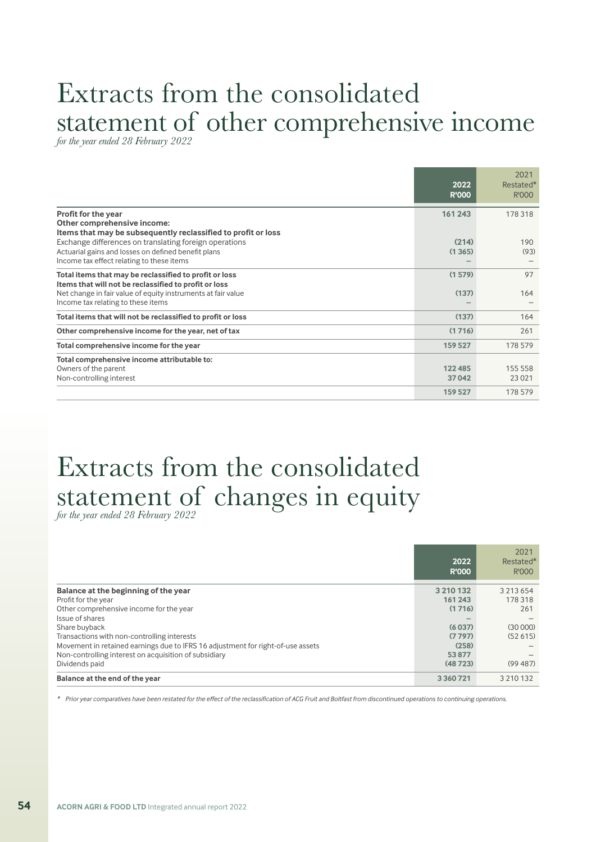# Extracts from the consolidated statement of other comprehensive income *for the year ended 28 February 2022*

|                                                                                                                                                                                                                       | 2022<br><b>R'000</b> | 2021<br>Restated*<br>R'000 |
|-----------------------------------------------------------------------------------------------------------------------------------------------------------------------------------------------------------------------|----------------------|----------------------------|
| Profit for the year<br>Other comprehensive income:<br>Items that may be subsequently reclassified to profit or loss                                                                                                   | 161243               | 178 318                    |
| Exchange differences on translating foreign operations<br>Actuarial gains and losses on defined benefit plans<br>Income tax effect relating to these items                                                            | (214)<br>(1365)      | 190<br>(93)                |
| Total items that may be reclassified to profit or loss<br>Items that will not be reclassified to profit or loss<br>Net change in fair value of equity instruments at fair value<br>Income tax relating to these items | (1579)<br>(137)      | 97<br>164                  |
| Total items that will not be reclassified to profit or loss                                                                                                                                                           | (137)                | 164                        |
| Other comprehensive income for the year, net of tax                                                                                                                                                                   | (1716)               | 261                        |
| Total comprehensive income for the year                                                                                                                                                                               | 159 527              | 178 579                    |
| Total comprehensive income attributable to:<br>Owners of the parent<br>Non-controlling interest                                                                                                                       | 122 485<br>37042     | 155 558<br>23 0 21         |
|                                                                                                                                                                                                                       | 159 527              | 178579                     |

# Extracts from the consolidated statement of changes in equity *for the year ended 28 February 2022*

|                                                                                 | 2022<br><b>R'000</b> | 2021<br>Restated*<br>R'000 |
|---------------------------------------------------------------------------------|----------------------|----------------------------|
| Balance at the beginning of the year                                            | 3 2 1 0 1 3 2        | 3 2 1 3 6 5 4              |
| Profit for the year                                                             | 161 243              | 178 318                    |
| Other comprehensive income for the year                                         | (1716)               | 261                        |
| Issue of shares                                                                 |                      |                            |
| Share buyback                                                                   | (6037)               | (30000)                    |
| Transactions with non-controlling interests                                     | (7797)               | (52615)                    |
| Movement in retained earnings due to IFRS 16 adjustment for right-of-use assets | (258)                |                            |
| Non-controlling interest on acquisition of subsidiary                           | 53877                |                            |
| Dividends paid                                                                  | (48723)              | (99487)                    |
| Balance at the end of the year                                                  | 3 3 6 0 7 2 1        | 3 210 132                  |

*\* Prior year comparatives have been restated for the effect of the reclassification of ACG Fruit and Boltfast from discontinued operations to continuing operations.*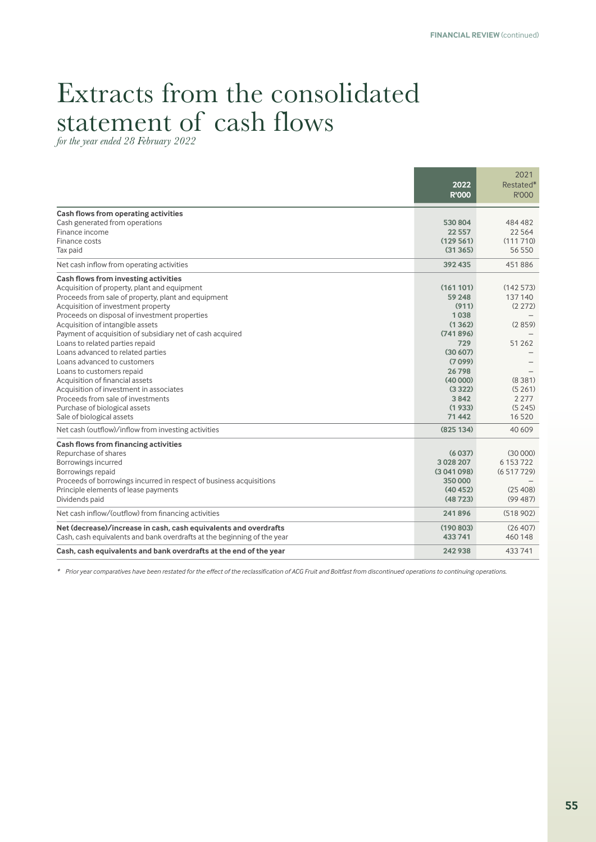## Extracts from the consolidated statement of cash flows

*for the year ended 28 February 2022*

|                                                                         |                      | 2021               |
|-------------------------------------------------------------------------|----------------------|--------------------|
|                                                                         | 2022<br><b>R'000</b> | Restated*<br>R'000 |
| Cash flows from operating activities                                    |                      |                    |
| Cash generated from operations                                          | 530804               | 484 482            |
| Finance income                                                          | 22 5 5 7             | 22 5 6 4           |
| Finance costs                                                           | (129 561)            | (111710)           |
| Tax paid                                                                | (31365)              | 56 550             |
| Net cash inflow from operating activities                               | 392 435              | 451886             |
| Cash flows from investing activities                                    |                      |                    |
| Acquisition of property, plant and equipment                            | (161101)             | (142573)           |
| Proceeds from sale of property, plant and equipment                     | 59 248               | 137140             |
| Acquisition of investment property                                      | (911)                | (2272)             |
| Proceeds on disposal of investment properties                           | 1038                 |                    |
| Acquisition of intangible assets                                        | (1362)               | (2859)             |
| Payment of acquisition of subsidiary net of cash acquired               | (741896)             |                    |
| Loans to related parties repaid                                         | 729                  | 51 2 62            |
| Loans advanced to related parties<br>Loans advanced to customers        | (30607)<br>(7099)    |                    |
| Loans to customers repaid                                               | 26 798               |                    |
| Acquisition of financial assets                                         | (40000)              | (8381)             |
| Acquisition of investment in associates                                 | (3322)               | (5261)             |
| Proceeds from sale of investments                                       | 3842                 | 2 2 7 7            |
| Purchase of biological assets                                           | (1933)               | (5245)             |
| Sale of biological assets                                               | 71442                | 16520              |
| Net cash (outflow)/inflow from investing activities                     | (825134)             | 40 609             |
| Cash flows from financing activities                                    |                      |                    |
| Repurchase of shares                                                    | (6037)               | (30000)            |
| Borrowings incurred                                                     | 3028207              | 6 153 722          |
| Borrowings repaid                                                       | (3041098)            | (6517729)          |
| Proceeds of borrowings incurred in respect of business acquisitions     | 350000               |                    |
| Principle elements of lease payments                                    | (40452)              | (25, 408)          |
| Dividends paid                                                          | (48723)              | (99487)            |
| Net cash inflow/(outflow) from financing activities                     | 241896               | (518902)           |
| Net (decrease)/increase in cash, cash equivalents and overdrafts        | (190803)             | (26, 407)          |
| Cash, cash equivalents and bank overdrafts at the beginning of the year | 433741               | 460 148            |
| Cash, cash equivalents and bank overdrafts at the end of the year       | 242938               | 433741             |

*\* Prior year comparatives have been restated for the effect of the reclassification of ACG Fruit and Boltfast from discontinued operations to continuing operations.*